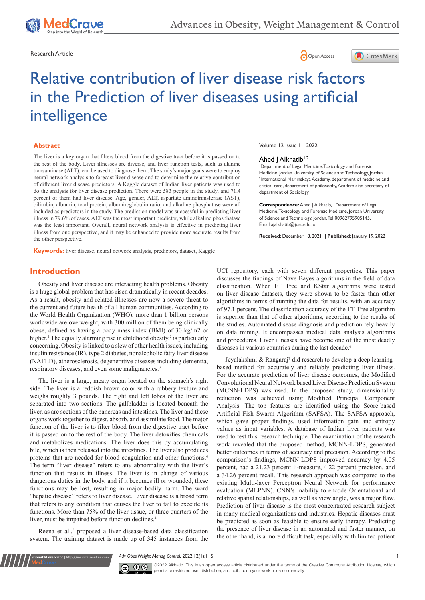

Research Article **Contracts** Contracts and Contracts Contracts Contracts Contracts Contracts Contracts Open Access





# Relative contribution of liver disease risk factors in the Prediction of liver diseases using artificial intelligence

#### **Abstract**

The liver is a key organ that filters blood from the digestive tract before it is passed on to the rest of the body. Liver illnesses are diverse, and liver function tests, such as alanine transaminase (ALT), can be used to diagnose them. The study's major goals were to employ neural network analysis to forecast liver disease and to determine the relative contribution of different liver disease predictors. A Kaggle dataset of Indian liver patients was used to do the analysis for liver disease prediction. There were 583 people in the study, and 71.4 percent of them had liver disease. Age, gender, ALT, aspartate aminotransferase (AST), bilirubin, albumin, total protein, albumin/globulin ratio, and alkaline phosphatase were all included as predictors in the study. The prediction model was successful in predicting liver illness in 79.6% of cases. ALT was the most important predictor, while alkaline phosphatase was the least important. Overall, neural network analysis is effective in predicting liver illness from one perspective, and it may be enhanced to provide more accurate results from the other perspective.

**Keywords:** liver disease, neural network analysis, predictors, dataset, Kaggle

#### Volume 12 Issue 1 - 2022

#### Ahed | Alkhatib<sup>1,2</sup>

1 Department of Legal Medicine, Toxicology and Forensic Medicine, Jordan University of Science and Technology, Jordan 2 International Mariinskaya Academy, department of medicine and critical care, department of philosophy, Academician secretary of department of Sociology

**Correspondence:** Ahed J Alkhatib, 1Department of Legal Medicine, Toxicology and Forensic Medicine, Jordan University of Science and Technology, Jordan, Tel 00962795905145, Email aialkhatib@iust.edu.io

**Received:** December 18, 2021 | **Published:** January 19, 2022

# **Introduction**

Obesity and liver disease are interacting health problems. Obesity is a huge global problem that has risen dramatically in recent decades. As a result, obesity and related illnesses are now a severe threat to the current and future health of all human communities. According to the World Health Organization (WHO), more than 1 billion persons worldwide are overweight, with 300 million of them being clinically obese, defined as having a body mass index (BMI) of 30 kg/m2 or higher.<sup>1</sup> The equally alarming rise in childhood obesity,<sup>2</sup> is particularly concerning. Obesity is linked to a slew of other health issues, including insulin resistance (IR), type 2 diabetes, nonalcoholic fatty liver disease (NAFLD), atherosclerosis, degenerative diseases including dementia, respiratory diseases, and even some malignancies.<sup>3</sup>

The liver is a large, meaty organ located on the stomach's right side. The liver is a reddish brown color with a rubbery texture and weighs roughly 3 pounds. The right and left lobes of the liver are separated into two sections. The gallbladder is located beneath the liver, as are sections of the pancreas and intestines. The liver and these organs work together to digest, absorb, and assimilate food. The major function of the liver is to filter blood from the digestive tract before it is passed on to the rest of the body. The liver detoxifies chemicals and metabolizes medications. The liver does this by accumulating bile, which is then released into the intestines. The liver also produces proteins that are needed for blood coagulation and other functions.4 The term "liver disease" refers to any abnormality with the liver's function that results in illness. The liver is in charge of various dangerous duties in the body, and if it becomes ill or wounded, these functions may be lost, resulting in major bodily harm. The word "hepatic disease" refers to liver disease. Liver disease is a broad term that refers to any condition that causes the liver to fail to execute its functions. More than 75% of the liver tissue, or three quarters of the liver, must be impaired before function declines.<sup>4</sup>

Reena et al.,<sup>5</sup> proposed a liver disease-based data classification system. The training dataset is made up of 345 instances from the

**it Manuscript** | http://medcraveonline.c

UCI repository, each with seven different properties. This paper discusses the findings of Nave Bayes algorithms in the field of data classification. When FT Tree and KStar algorithms were tested on liver disease datasets, they were shown to be faster than other algorithms in terms of running the data for results, with an accuracy of 97.1 percent. The classification accuracy of the FT Tree algorithm is superior than that of other algorithms, according to the results of the studies. Automated disease diagnosis and prediction rely heavily on data mining. It encompasses medical data analysis algorithms and procedures. Liver illnesses have become one of the most deadly diseases in various countries during the last decade.<sup>6</sup>

Jeyalakshmi & Rangaraj<sup>7</sup> did research to develop a deep learningbased method for accurately and reliably predicting liver illness. For the accurate prediction of liver disease outcomes, the Modified Convolutional Neural Network based Liver Disease Prediction System (MCNN-LDPS) was used. In the proposed study, dimensionality reduction was achieved using Modified Principal Component Analysis. The top features are identified using the Score-based Artificial Fish Swarm Algorithm (SAFSA). The SAFSA approach, which gave proper findings, used information gain and entropy values as input variables. A database of Indian liver patients was used to test this research technique. The examination of the research work revealed that the proposed method, MCNN-LDPS, generated better outcomes in terms of accuracy and precision. According to the comparison's findings, MCNN-LDPS improved accuracy by 4.05 percent, had a 21.23 percent F-measure, 4.22 percent precision, and a 34.26 percent recall. This research approach was compared to the existing Multi-layer Perceptron Neural Network for performance evaluation (MLPNN). CNN's inability to encode Orientational and relative spatial relationships, as well as view angle, was a major flaw. Prediction of liver disease is the most concentrated research subject in many medical organizations and industries. Hepatic diseases must be predicted as soon as feasible to ensure early therapy. Predicting the presence of liver disease in an automated and faster manner, on the other hand, is a more difficult task, especially with limited patient

*Adv Obes Weight Manag Control.* 2022;12(1):1‒5. 1



 $\overline{\mathbf{c}}$   $\overline{\mathbf{c}}$   $\odot$  2022 Alkhatib. This is an open access article distributed under the terms of the [Creative Commons Attribution License](https://creativecommons.org/licenses/by-nc/4.0/), which permits unrestricted use, distribution, and build upon your work non-commercially.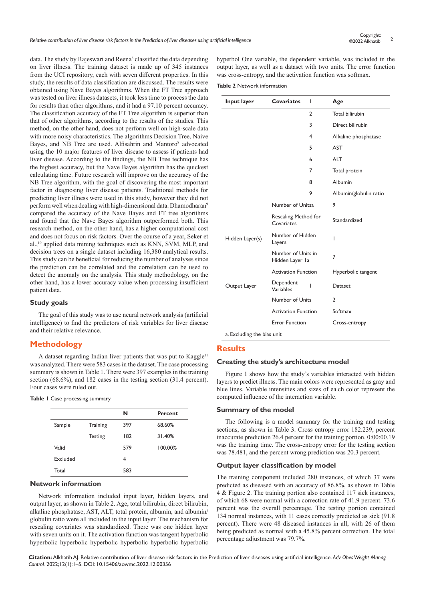data. The study by Rajeswari and Reena<sup>5</sup> classified the data depending on liver illness. The training dataset is made up of 345 instances from the UCI repository, each with seven different properties. In this study, the results of data classification are discussed. The results were obtained using Nave Bayes algorithms. When the FT Tree approach was tested on liver illness datasets, it took less time to process the data for results than other algorithms, and it had a 97.10 percent accuracy. The classification accuracy of the FT Tree algorithm is superior than that of other algorithms, according to the results of the studies. This method, on the other hand, does not perform well on high-scale data with more noisy characteristics. The algorithms Decision Tree, Naive Bayes, and NB Tree are used. Alfisahrin and Mantoro<sup>8</sup> advocated using the 10 major features of liver disease to assess if patients had liver disease. According to the findings, the NB Tree technique has the highest accuracy, but the Nave Bayes algorithm has the quickest calculating time. Future research will improve on the accuracy of the NB Tree algorithm, with the goal of discovering the most important factor in diagnosing liver disease patients. Traditional methods for predicting liver illness were used in this study, however they did not perform well when dealing with high-dimensional data. Dhamodharan9 compared the accuracy of the Nave Bayes and FT tree algorithms and found that the Nave Bayes algorithm outperformed both. This research method, on the other hand, has a higher computational cost and does not focus on risk factors. Over the course of a year, Seker et al.,10 applied data mining techniques such as KNN, SVM, MLP, and decision trees on a single dataset including 16,380 analytical results. This study can be beneficial for reducing the number of analyses since the prediction can be correlated and the correlation can be used to detect the anomaly on the analysis. This study methodology, on the other hand, has a lower accuracy value when processing insufficient patient data.

# **Study goals**

The goal of this study was to use neural network analysis (artificial intelligence) to find the predictors of risk variables for liver disease and their relative relevance.

# **Methodology**

A dataset regarding Indian liver patients that was put to Kaggle<sup>11</sup> was analyzed. There were 583 cases in the dataset. The case processing summary is shown in Table 1. There were 397 examples in the training section (68.6%), and 182 cases in the testing section (31.4 percent). Four cases were ruled out.

#### **Table 1** Case processing summary

|          |                 | N   | <b>Percent</b> |
|----------|-----------------|-----|----------------|
| Sample   | <b>Training</b> | 397 | 68.60%         |
|          | <b>Testing</b>  | 182 | 31.40%         |
| Valid    |                 | 579 | 100.00%        |
| Excluded |                 | 4   |                |
| Total    |                 | 583 |                |

#### **Network information**

Network information included input layer, hidden layers, and output layer, as shown in Table 2. Age, total bilirubin, direct bilirubin, alkaline phosphatase, AST, ALT, total protein, albumin, and albumin/ globulin ratio were all included in the input layer. The mechanism for rescaling covariates was standardized. There was one hidden layer with seven units on it. The activation function was tangent hyperbolic hyperbolic hyperbolic hyperbolic hyperbolic hyperbolic hyperbolic

hyperbol One variable, the dependent variable, was included in the output layer, as well as a dataset with two units. The error function was cross-entropy, and the activation function was softmax.

**Table 2** Network information

| Input layer     | <b>Covariates</b>                     | ı | Age                    |
|-----------------|---------------------------------------|---|------------------------|
|                 |                                       | 2 | <b>Total bilirubin</b> |
|                 |                                       | 3 | Direct bilirubin       |
|                 |                                       | 4 | Alkaline phosphatase   |
|                 |                                       | 5 | <b>AST</b>             |
|                 |                                       | 6 | <b>ALT</b>             |
|                 |                                       | 7 | Total protein          |
|                 |                                       | 8 | Albumin                |
|                 |                                       | 9 | Albumin/globulin ratio |
|                 | Number of Unitsa                      |   | 9                      |
|                 | Rescaling Method for<br>Covariates    |   | Standardized           |
| Hidden Layer(s) | Number of Hidden<br>Layers            |   | ı                      |
|                 | Number of Units in<br>Hidden Layer la |   | 7                      |
|                 | <b>Activation Function</b>            |   | Hyperbolic tangent     |
| Output Layer    | Dependent<br>Variables                | ı | Dataset                |
|                 | Number of Units                       |   | 2                      |
|                 | <b>Activation Function</b>            |   | Softmax                |
|                 |                                       |   |                        |

#### **Results**

## **Creating the study's architecture model**

Figure 1 shows how the study's variables interacted with hidden layers to predict illness. The main colors were represented as gray and blue lines. Variable intensities and sizes of ea.ch color represent the computed influence of the interaction variable.

#### **Summary of the model**

The following is a model summary for the training and testing sections, as shown in Table 3. Cross entropy error 182.239, percent inaccurate prediction 26.4 percent for the training portion. 0:00:00.19 was the training time. The cross-entropy error for the testing section was 78.481, and the percent wrong prediction was 20.3 percent.

#### **Output layer classification by model**

The training component included 280 instances, of which 37 were predicted as diseased with an accuracy of 86.8%, as shown in Table 4 & Figure 2. The training portion also contained 117 sick instances, of which 68 were normal with a correction rate of 41.9 percent. 73.6 percent was the overall percentage. The testing portion contained 134 normal instances, with 11 cases correctly predicted as sick (91.8 percent). There were 48 diseased instances in all, with 26 of them being predicted as normal with a 45.8% percent correction. The total percentage adjustment was 79.7%.

**Citation:** Alkhatib AJ. Relative contribution of liver disease risk factors in the Prediction of liver diseases using artificial intelligence. *Adv Obes Weight Manag Control.* 2022;12(1):1‒5. DOI: [10.15406/aowmc.2022.12.00356](https://doi.org/10.15406/aowmc.2022.12.00356)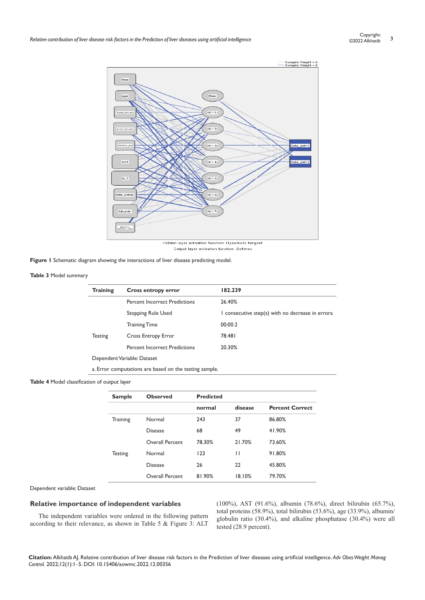

Output layer activation function: Softmax

**Figure 1** Schematic diagram showing the interactions of liver disease predicting model.

#### **Table 3** Model summary

| <b>Training</b> | <b>Cross entropy error</b>           | 182.239                                          |
|-----------------|--------------------------------------|--------------------------------------------------|
|                 | <b>Percent Incorrect Predictions</b> | 26.40%                                           |
|                 | <b>Stopping Rule Used</b>            | I consecutive step(s) with no decrease in errora |
|                 | <b>Training Time</b>                 | 00:00.2                                          |
| <b>Testing</b>  | Cross Entropy Error                  | 78.481                                           |
|                 | <b>Percent Incorrect Predictions</b> | 20.30%                                           |
|                 | Dependent Variable: Dataset          |                                                  |

a. Error computations are based on the testing sample.

#### **Table 4** Model classification of output layer

| <b>Sample</b>  | <b>Observed</b>        | <b>Predicted</b> |         |                        |
|----------------|------------------------|------------------|---------|------------------------|
|                |                        | normal           | disease | <b>Percent Correct</b> |
| Training       | Normal                 | 243              | 37      | 86.80%                 |
|                | <b>Disease</b>         | 68               | 49      | 41.90%                 |
|                | Overall Percent        | 78.30%           | 21.70%  | 73.60%                 |
| <b>Testing</b> | Normal                 | 123              | Н       | 91.80%                 |
|                | <b>Disease</b>         | 26               | 22      | 45.80%                 |
|                | <b>Overall Percent</b> | 81.90%           | 18.10%  | 79.70%                 |

Dependent variable: Dataset

## **Relative importance of independent variables**

The independent variables were ordered in the following pattern according to their relevance, as shown in Table 5 & Figure 3: ALT

(100%), AST (91.6%), albumin (78.6%), direct bilirubin (65.7%), total proteins (58.9%), total bilirubin (53.6%), age (33.9%), albumin/ globulin ratio (30.4%), and alkaline phosphatase (30.4%) were all tested (28.9 percent).

**Citation:** Alkhatib AJ. Relative contribution of liver disease risk factors in the Prediction of liver diseases using artificial intelligence. *Adv Obes Weight Manag Control.* 2022;12(1):1‒5. DOI: [10.15406/aowmc.2022.12.00356](https://doi.org/10.15406/aowmc.2022.12.00356)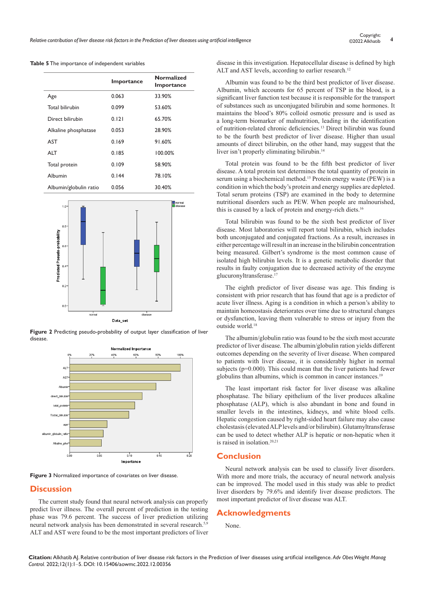|                        | Importance | <b>Normalized</b><br>Importance |
|------------------------|------------|---------------------------------|
| Age                    | 0.063      | 33.90%                          |
| <b>Total bilirubin</b> | 0.099      | 53.60%                          |
| Direct bilirubin       | 0.121      | 65.70%                          |
| Alkaline phosphatase   | 0.053      | 28.90%                          |
| AST                    | 0.169      | 91.60%                          |
| ALT                    | 0.185      | 100.00%                         |
| Total protein          | 0.109      | 58.90%                          |
| Albumin                | 0.144      | 78.10%                          |
| Albumin/globulin ratio | 0.056      | 30.40%                          |

**Table 5** The importance of independent variables



**Figure 2** Predicting pseudo-probability of output layer classification of liver disease.



**Figure 3** Normalized importance of covariates on liver disease.

## **Discussion**

The current study found that neural network analysis can properly predict liver illness. The overall percent of prediction in the testing phase was 79.6 percent. The success of liver prediction utilizing neural network analysis has been demonstrated in several research.<sup>5,9</sup> ALT and AST were found to be the most important predictors of liver disease in this investigation. Hepatocellular disease is defined by high ALT and AST levels, according to earlier research.<sup>12</sup>

Albumin was found to be the third best predictor of liver disease. Albumin, which accounts for 65 percent of TSP in the blood, is a significant liver function test because it is responsible for the transport of substances such as unconjugated bilirubin and some hormones. It maintains the blood's 80% colloid osmotic pressure and is used as a long-term biomarker of malnutrition, leading in the identification of nutrition-related chronic deficiencies.13 Direct bilirubin was found to be the fourth best predictor of liver disease. Higher than usual amounts of direct bilirubin, on the other hand, may suggest that the liver isn't properly eliminating bilirubin.14

Total protein was found to be the fifth best predictor of liver disease. A total protein test determines the total quantity of protein in serum using a biochemical method.<sup>15</sup> Protein energy waste (PEW) is a condition in which the body's protein and energy supplies are depleted. Total serum proteins (TSP) are examined in the body to determine nutritional disorders such as PEW. When people are malnourished, this is caused by a lack of protein and energy-rich diets.<sup>16</sup>

Total bilirubin was found to be the sixth best predictor of liver disease. Most laboratories will report total bilirubin, which includes both unconjugated and conjugated fractions. As a result, increases in either percentage will result in an increase in the bilirubin concentration being measured. Gilbert's syndrome is the most common cause of isolated high bilirubin levels. It is a genetic metabolic disorder that results in faulty conjugation due to decreased activity of the enzyme glucuronyltransferase.<sup>17</sup>

The eighth predictor of liver disease was age. This finding is consistent with prior research that has found that age is a predictor of acute liver illness. Aging is a condition in which a person's ability to maintain homeostasis deteriorates over time due to structural changes or dysfunction, leaving them vulnerable to stress or injury from the outside world.<sup>18</sup>

The albumin/globulin ratio was found to be the sixth most accurate predictor of liver disease. The albumin/globulin ration yields different outcomes depending on the severity of liver disease. When compared to patients with liver disease, it is considerably higher in normal subjects (p=0.000). This could mean that the liver patients had fewer globulins than albumins, which is common in cancer instances.<sup>19</sup>

The least important risk factor for liver disease was alkaline phosphatase. The biliary epithelium of the liver produces alkaline phosphatase (ALP), which is also abundant in bone and found in smaller levels in the intestines, kidneys, and white blood cells. Hepatic congestion caused by right-sided heart failure may also cause cholestasis (elevated ALP levels and/or bilirubin). Glutamyltransferase can be used to detect whether ALP is hepatic or non-hepatic when it is raised in isolation.20,21

#### **Conclusion**

Neural network analysis can be used to classify liver disorders. With more and more trials, the accuracy of neural network analysis can be improved. The model used in this study was able to predict liver disorders by 79.6% and identify liver disease predictors. The most important predictor of liver disease was ALT.

#### **Acknowledgments**

None.

**Citation:** Alkhatib AJ. Relative contribution of liver disease risk factors in the Prediction of liver diseases using artificial intelligence. *Adv Obes Weight Manag Control.* 2022;12(1):1‒5. DOI: [10.15406/aowmc.2022.12.00356](https://doi.org/10.15406/aowmc.2022.12.00356)